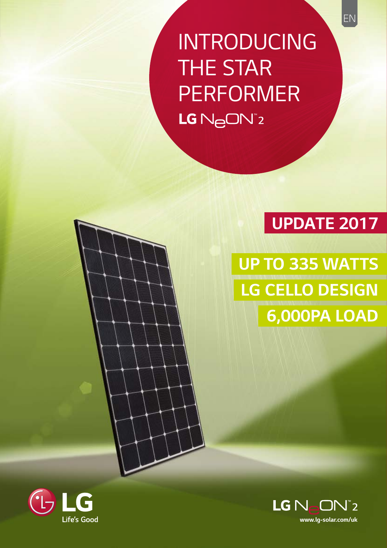*INTRODUCING THE STAR PERFORMER* LG N<sub>e</sub>ON<sup>\*2</sup>

### *UPDATE 2017*

*UP TO 335 WATTS LG CELLO DESIGN 6,000PA LOAD*



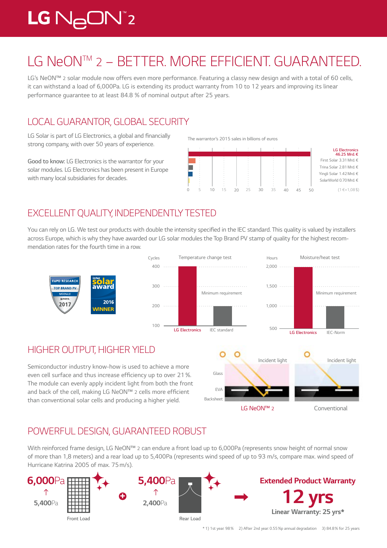## $LG$   $N_{\ominus}$ O $N^{\circ}$ 2

## *LG NeONTM 2 – BETTER. MORE EFFICIENT. GUARANTEED.*

*LG's NeON™ 2 solar module now offers even more performance. Featuring a classy new design and with a total of 60 cells, it can withstand a load of 6,000Pa. LG is extending its product warranty from 10 to 12 years and improving its linear* performance guarantee to at least 84.8  % of nominal output after 25 years.

#### *LOCAL GUARANTOR, GLOBAL SECURITY*

LG Solar is part of LG Electronics, a global and financially *strong company, with over 50 years of experience.* 

*Good to know: LG Electronics is the warrantor for your solar modules. LG Electronics has been present in Europe with many local subsidiaries for decades.*

*The warrantor's 2015 sales in billions of euros* 



#### *EXCELLENT QUALITY, INDEPENDENTLY TESTED*

You can rely on LG. We test our products with double the intensity specified in the IEC standard. This quality is valued by installers across Europe, which is why they have awarded our LG solar modules the Top Brand PV stamp of quality for the highest recom*mendation rates for the fourth time in a row.*



#### *HIGHER OUTPUT, HIGHER YIELD*

Semiconductor industry know-how is used to achieve a more even cell surface and thus increase efficiency up to over 21 %. *The module can evenly apply incident light from both the front and back of the cell, making LG NeON™ 2* cells more efficient *than conventional solar cells and producing a higher yield.* 



#### *POWERFUL DESIGN, GUARANTEED ROBUST*

*With reinforced frame design, LG NeON™ 2 can endure a front load up to 6,000Pa (represents snow height of normal snow of more than 1,8 meters) and a rear load up to 5,400Pa (represents wind speed of up to 93 m/s, compare max. wind speed of Hurricane Katrina 2005 of max. 75m/s).*

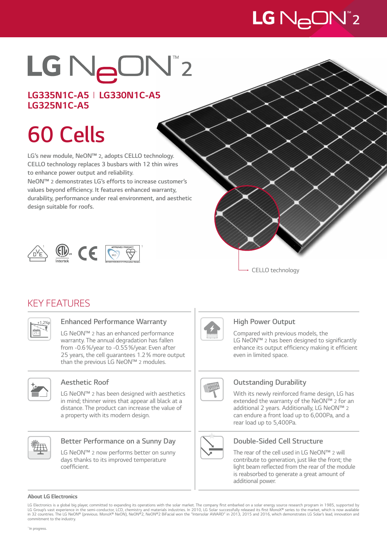# $LG$   $N_{\ominus}$ ON $^{\circ}$ 2

# LG NeON"2

#### *LG335N1C-A5 I LG330N1C-A5 LG325N1C-A5*

# *60 Cells*

*LG's new module, NeON™ 2, adopts CELLO* **technology.**  *CELLO* **technology replaces 3 busbars with 12 thin wires to enhance power output and reliability.** 

*NeON™ 2 demonstrates LG's efforts to increase customer's*  **values beyond efficiency. It features enhanced warranty, durability, performance under real environment, and aesthetic**  *design suitable for roofs.*





#### *KEY FEATURES*



#### **Enhanced Performance Warranty**

*LG NeON™ 2 has an enhanced performance warranty. The annual degradation has fallen*  from -0.6%/year to -0.55%/year. Even after 25 years, the cell guarantees 1.2% more output *than the previous LG NeON™ 2 modules.*



#### *Aesthetic Roof*

*LG NeON™ 2 has been designed with aesthetics in mind; thinner wires that appear all black at a distance. The product can increase the value of a property with its modern design.*



#### **Better Performance on a Sunny Day**

*LG NeON™ 2 now performs better on sunny days thanks to its improved temperature*  coefficient.



#### *High Power Output*

*Compared with previous models, the LG NeON™ 2* has been designed to significantly enhance its output efficiency making it efficient *even in limited space.*



#### **Outstanding Durability**

*With its newly reinforced frame design, LG has extended the warranty of the NeON™ 2 for an additional 2 years. Additionally, LG NeON™ 2 can endure a front load up to 6,000Pa, and a rear load up to 5,400Pa.*



#### *~+3% Double-Sided Cell Structure*

*The rear of the cell used in LG NeON™ 2 will contribute to generation, just like the front; the*  light beam reflected from the rear of the module *is reabsorbed to generate a great amount of additional power.*

#### *About LG Electronics*

LG Electronics is a global big player, committed to expanding its operations with the solar market. The company first embarked on a solar energy source research program in 1985, supported by LG Group's vast experience in the semi-conductor, LCD, chemistry and materials industries. In 2010, LG Solar successfully released its first MonoX® series to the market, which is now available<br>in 32 countries. The LG NeON *commitment to the industry.*